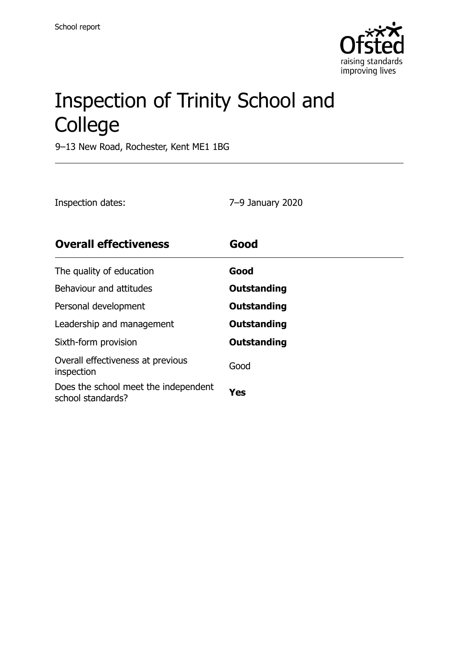

# Inspection of Trinity School and College

9–13 New Road, Rochester, Kent ME1 1BG

| Inspection dates: | 7–9 January 2020 |
|-------------------|------------------|
|                   |                  |

| <b>Overall effectiveness</b>                              | Good               |
|-----------------------------------------------------------|--------------------|
| The quality of education                                  | Good               |
| Behaviour and attitudes                                   | Outstanding        |
| Personal development                                      | Outstanding        |
| Leadership and management                                 | <b>Outstanding</b> |
| Sixth-form provision                                      | Outstanding        |
| Overall effectiveness at previous<br>inspection           | Good               |
| Does the school meet the independent<br>school standards? | Yes                |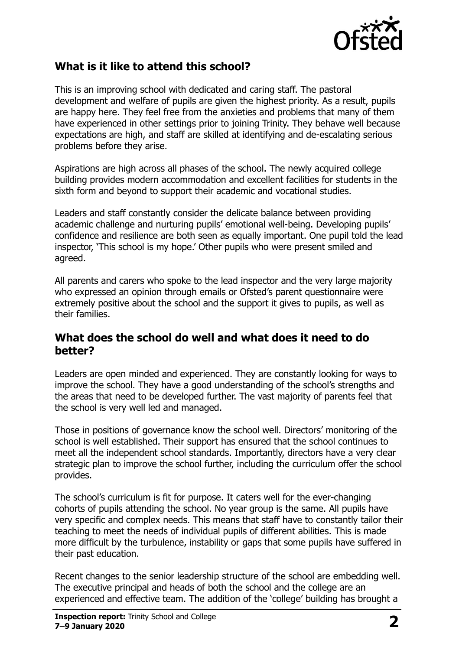

### **What is it like to attend this school?**

This is an improving school with dedicated and caring staff. The pastoral development and welfare of pupils are given the highest priority. As a result, pupils are happy here. They feel free from the anxieties and problems that many of them have experienced in other settings prior to joining Trinity. They behave well because expectations are high, and staff are skilled at identifying and de-escalating serious problems before they arise.

Aspirations are high across all phases of the school. The newly acquired college building provides modern accommodation and excellent facilities for students in the sixth form and beyond to support their academic and vocational studies.

Leaders and staff constantly consider the delicate balance between providing academic challenge and nurturing pupils' emotional well-being. Developing pupils' confidence and resilience are both seen as equally important. One pupil told the lead inspector, 'This school is my hope.' Other pupils who were present smiled and agreed.

All parents and carers who spoke to the lead inspector and the very large majority who expressed an opinion through emails or Ofsted's parent questionnaire were extremely positive about the school and the support it gives to pupils, as well as their families.

#### **What does the school do well and what does it need to do better?**

Leaders are open minded and experienced. They are constantly looking for ways to improve the school. They have a good understanding of the school's strengths and the areas that need to be developed further. The vast majority of parents feel that the school is very well led and managed.

Those in positions of governance know the school well. Directors' monitoring of the school is well established. Their support has ensured that the school continues to meet all the independent school standards. Importantly, directors have a very clear strategic plan to improve the school further, including the curriculum offer the school provides.

The school's curriculum is fit for purpose. It caters well for the ever-changing cohorts of pupils attending the school. No year group is the same. All pupils have very specific and complex needs. This means that staff have to constantly tailor their teaching to meet the needs of individual pupils of different abilities. This is made more difficult by the turbulence, instability or gaps that some pupils have suffered in their past education.

Recent changes to the senior leadership structure of the school are embedding well. The executive principal and heads of both the school and the college are an experienced and effective team. The addition of the 'college' building has brought a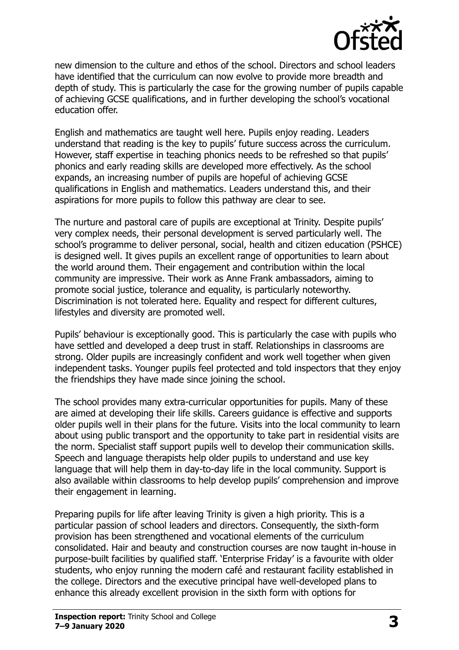

new dimension to the culture and ethos of the school. Directors and school leaders have identified that the curriculum can now evolve to provide more breadth and depth of study. This is particularly the case for the growing number of pupils capable of achieving GCSE qualifications, and in further developing the school's vocational education offer.

English and mathematics are taught well here. Pupils enjoy reading. Leaders understand that reading is the key to pupils' future success across the curriculum. However, staff expertise in teaching phonics needs to be refreshed so that pupils' phonics and early reading skills are developed more effectively. As the school expands, an increasing number of pupils are hopeful of achieving GCSE qualifications in English and mathematics. Leaders understand this, and their aspirations for more pupils to follow this pathway are clear to see.

The nurture and pastoral care of pupils are exceptional at Trinity. Despite pupils' very complex needs, their personal development is served particularly well. The school's programme to deliver personal, social, health and citizen education (PSHCE) is designed well. It gives pupils an excellent range of opportunities to learn about the world around them. Their engagement and contribution within the local community are impressive. Their work as Anne Frank ambassadors, aiming to promote social justice, tolerance and equality, is particularly noteworthy. Discrimination is not tolerated here. Equality and respect for different cultures, lifestyles and diversity are promoted well.

Pupils' behaviour is exceptionally good. This is particularly the case with pupils who have settled and developed a deep trust in staff. Relationships in classrooms are strong. Older pupils are increasingly confident and work well together when given independent tasks. Younger pupils feel protected and told inspectors that they enjoy the friendships they have made since joining the school.

The school provides many extra-curricular opportunities for pupils. Many of these are aimed at developing their life skills. Careers guidance is effective and supports older pupils well in their plans for the future. Visits into the local community to learn about using public transport and the opportunity to take part in residential visits are the norm. Specialist staff support pupils well to develop their communication skills. Speech and language therapists help older pupils to understand and use key language that will help them in day-to-day life in the local community. Support is also available within classrooms to help develop pupils' comprehension and improve their engagement in learning.

Preparing pupils for life after leaving Trinity is given a high priority. This is a particular passion of school leaders and directors. Consequently, the sixth-form provision has been strengthened and vocational elements of the curriculum consolidated. Hair and beauty and construction courses are now taught in-house in purpose-built facilities by qualified staff. 'Enterprise Friday' is a favourite with older students, who enjoy running the modern café and restaurant facility established in the college. Directors and the executive principal have well-developed plans to enhance this already excellent provision in the sixth form with options for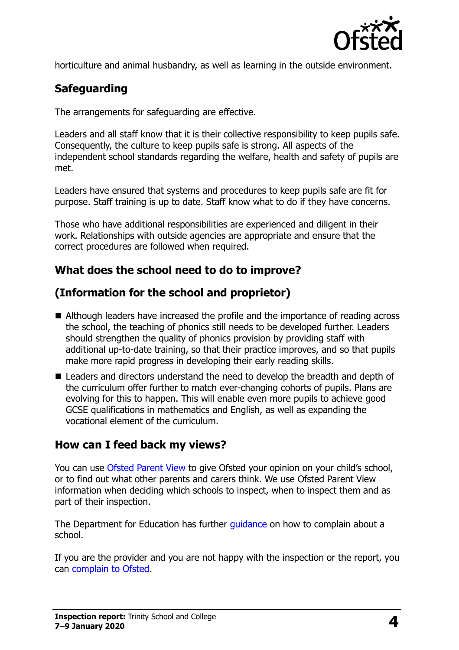

horticulture and animal husbandry, as well as learning in the outside environment.

## **Safeguarding**

The arrangements for safeguarding are effective.

Leaders and all staff know that it is their collective responsibility to keep pupils safe. Consequently, the culture to keep pupils safe is strong. All aspects of the independent school standards regarding the welfare, health and safety of pupils are met.

Leaders have ensured that systems and procedures to keep pupils safe are fit for purpose. Staff training is up to date. Staff know what to do if they have concerns.

Those who have additional responsibilities are experienced and diligent in their work. Relationships with outside agencies are appropriate and ensure that the correct procedures are followed when required.

## **What does the school need to do to improve?**

## **(Information for the school and proprietor)**

- Although leaders have increased the profile and the importance of reading across the school, the teaching of phonics still needs to be developed further. Leaders should strengthen the quality of phonics provision by providing staff with additional up-to-date training, so that their practice improves, and so that pupils make more rapid progress in developing their early reading skills.
- Leaders and directors understand the need to develop the breadth and depth of the curriculum offer further to match ever-changing cohorts of pupils. Plans are evolving for this to happen. This will enable even more pupils to achieve good GCSE qualifications in mathematics and English, as well as expanding the vocational element of the curriculum.

#### **How can I feed back my views?**

You can use [Ofsted Parent View](http://parentview.ofsted.gov.uk/) to give Ofsted your opinion on your child's school, or to find out what other parents and carers think. We use Ofsted Parent View information when deciding which schools to inspect, when to inspect them and as part of their inspection.

The Department for Education has further quidance on how to complain about a school.

If you are the provider and you are not happy with the inspection or the report, you can [complain to Ofsted.](http://www.gov.uk/complain-ofsted-report)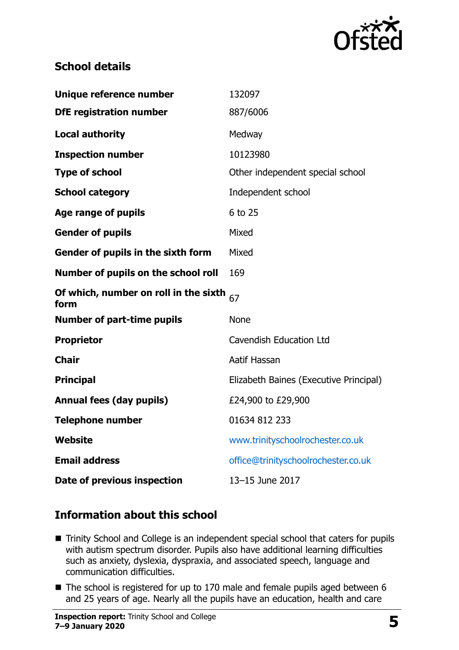

## **School details**

| Unique reference number                       | 132097                                 |
|-----------------------------------------------|----------------------------------------|
| <b>DfE registration number</b>                | 887/6006                               |
| <b>Local authority</b>                        | Medway                                 |
| <b>Inspection number</b>                      | 10123980                               |
| <b>Type of school</b>                         | Other independent special school       |
| <b>School category</b>                        | Independent school                     |
| Age range of pupils                           | 6 to 25                                |
| <b>Gender of pupils</b>                       | Mixed                                  |
| Gender of pupils in the sixth form            | Mixed                                  |
| Number of pupils on the school roll           | 169                                    |
| Of which, number on roll in the sixth<br>form | 67                                     |
| <b>Number of part-time pupils</b>             | <b>None</b>                            |
| <b>Proprietor</b>                             | <b>Cavendish Education Ltd</b>         |
| <b>Chair</b>                                  | Aatif Hassan                           |
| <b>Principal</b>                              | Elizabeth Baines (Executive Principal) |
| <b>Annual fees (day pupils)</b>               | £24,900 to £29,900                     |
| <b>Telephone number</b>                       | 01634 812 233                          |
| <b>Website</b>                                | www.trinityschoolrochester.co.uk       |
| <b>Email address</b>                          | office@trinityschoolrochester.co.uk    |
| Date of previous inspection                   | 13-15 June 2017                        |

#### **Information about this school**

- Trinity School and College is an independent special school that caters for pupils with autism spectrum disorder. Pupils also have additional learning difficulties such as anxiety, dyslexia, dyspraxia, and associated speech, language and communication difficulties.
- The school is registered for up to 170 male and female pupils aged between 6 and 25 years of age. Nearly all the pupils have an education, health and care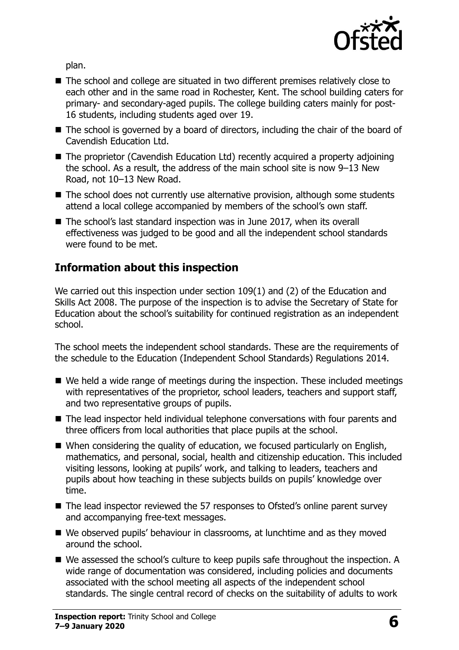

plan.

- The school and college are situated in two different premises relatively close to each other and in the same road in Rochester, Kent. The school building caters for primary- and secondary-aged pupils. The college building caters mainly for post-16 students, including students aged over 19.
- The school is governed by a board of directors, including the chair of the board of Cavendish Education Ltd.
- The proprietor (Cavendish Education Ltd) recently acquired a property adjoining the school. As a result, the address of the main school site is now 9–13 New Road, not 10–13 New Road.
- The school does not currently use alternative provision, although some students attend a local college accompanied by members of the school's own staff.
- The school's last standard inspection was in June 2017, when its overall effectiveness was judged to be good and all the independent school standards were found to be met.

## **Information about this inspection**

We carried out this inspection under section 109(1) and (2) of the Education and Skills Act 2008. The purpose of the inspection is to advise the Secretary of State for Education about the school's suitability for continued registration as an independent school.

The school meets the independent school standards. These are the requirements of the schedule to the Education (Independent School Standards) Regulations 2014.

- We held a wide range of meetings during the inspection. These included meetings with representatives of the proprietor, school leaders, teachers and support staff, and two representative groups of pupils.
- The lead inspector held individual telephone conversations with four parents and three officers from local authorities that place pupils at the school.
- When considering the quality of education, we focused particularly on English, mathematics, and personal, social, health and citizenship education. This included visiting lessons, looking at pupils' work, and talking to leaders, teachers and pupils about how teaching in these subjects builds on pupils' knowledge over time.
- The lead inspector reviewed the 57 responses to Ofsted's online parent survey and accompanying free-text messages.
- We observed pupils' behaviour in classrooms, at lunchtime and as they moved around the school.
- We assessed the school's culture to keep pupils safe throughout the inspection. A wide range of documentation was considered, including policies and documents associated with the school meeting all aspects of the independent school standards. The single central record of checks on the suitability of adults to work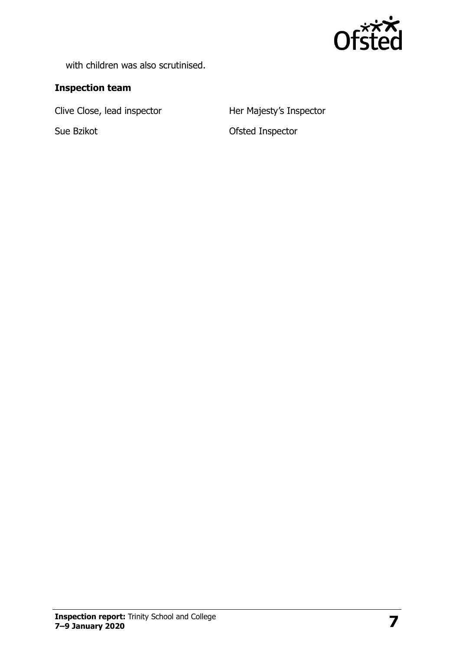

with children was also scrutinised.

#### **Inspection team**

Clive Close, lead inspector **Her Majesty's Inspector** 

Sue Bzikot **Containers** Ofsted Inspector